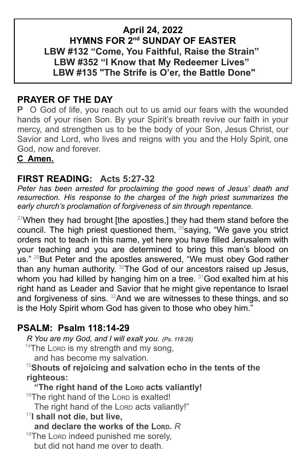## **April 24, 2022 HYMNS FOR 2nd SUNDAY OF EASTER LBW #132 "Come, You Faithful, Raise the Strain" LBW #352 "I Know that My Redeemer Lives" LBW #135 "The Strife is O'er, the Battle Done"**

# **PRAYER OF THE DAY**

P O God of life, you reach out to us amid our fears with the wounded hands of your risen Son. By your Spirit's breath revive our faith in your mercy, and strengthen us to be the body of your Son, Jesus Christ, our Savior and Lord, who lives and reigns with you and the Holy Spirit, one God, now and forever.

### **C Amen.**

## **FIRST READING: Acts 5:27-32**

*Peter has been arrested for proclaiming the good news of Jesus' death and resurrection. His response to the charges of the high priest summarizes the early church's proclamation of forgiveness of sin through repentance.*

 $27$ When they had brought [the apostles,] they had them stand before the council. The high priest questioned them, <sup>28</sup>saying, "We gave you strict orders not to teach in this name, yet here you have filled Jerusalem with your teaching and you are determined to bring this man's blood on us."<sup>29</sup>But Peter and the apostles answered, "We must obey God rather than any human authority. <sup>30</sup>The God of our ancestors raised up Jesus, whom you had killed by hanging him on a tree. <sup>31</sup>God exalted him at his right hand as Leader and Savior that he might give repentance to Israel and forgiveness of sins.  $32$ And we are witnesses to these things, and so is the Holy Spirit whom God has given to those who obey him."

## **PSALM: Psalm 118:14-29**

*R You are my God, and I will exalt you. (Ps. 118:28)*

 $14$ The Lorp is my strength and my song,

and has become my salvation.

<sup>15</sup>**Shouts of rejoicing and salvation echo in the tents of the righteous:**

**"The right hand of the LORD acts valiantly!**

16The right hand of the LORD is exalted!

The right hand of the LORD acts valiantly!"

17 **I shall not die, but live,**

**and declare the works of the LORD.** *R*

<sup>18</sup>The Lorp indeed punished me sorely, but did not hand me over to death.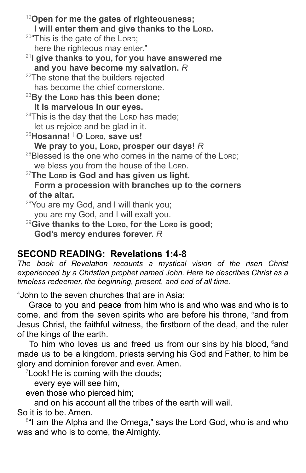<sup>19</sup>**Open for me the gates of righteousness; I will enter them and give thanks to the LORD.** <sup>20</sup>"This is the gate of the LORD; here the righteous may enter." 21 **I give thanks to you, for you have answered me and you have become my salvation.** *R* <sup>22</sup>The stone that the builders rejected has become the chief cornerstone. <sup>23</sup>**By the LORD has this been done; it is marvelous in our eyes.**  $24$ This is the day that the LORD has made; let us rejoice and be glad in it. <sup>25</sup>**Hosanna! <sup>|</sup> O LORD, save us! We pray to you, LORD, prosper our days!** *R*  $^{26}$ Blessed is the one who comes in the name of the LORD; we bless you from the house of the LORD. <sup>27</sup>**The LORD is God and has given us light. Form a procession with branches up to the corners of the altar.** <sup>28</sup>You are my God, and I will thank you; you are my God, and I will exalt you. <sup>29</sup>**Give thanks to the LORD, for the LORD is good; God's mercy endures forever.** *R*

## **SECOND READING: Revelations 1:4-8**

*The book of Revelation recounts a mystical vision of the risen Christ experienced by a Christian prophet named John. Here he describes Christ as a timeless redeemer, the beginning, present, and end of all time.*

<sup>4</sup>John to the seven churches that are in Asia:

Grace to you and peace from him who is and who was and who is to come, and from the seven spirits who are before his throne, <sup>5</sup>and from Jesus Christ, the faithful witness, the firstborn of the dead, and the ruler of the kings of the earth.

To him who loves us and freed us from our sins by his blood, <sup>6</sup>and made us to be a kingdom, priests serving his God and Father, to him be glory and dominion forever and ever. Amen.

 $7$ Look! He is coming with the clouds;

every eye will see him,

even those who pierced him;

and on his account all the tribes of the earth will wail.

So it is to be. Amen.

<sup>8</sup>"I am the Alpha and the Omega," says the Lord God, who is and who was and who is to come, the Almighty.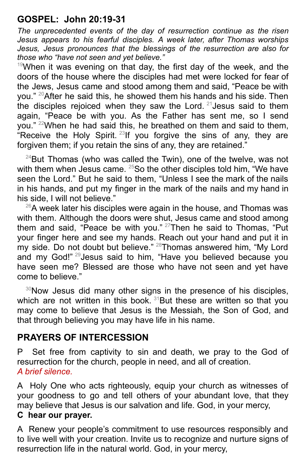# **GOSPEL: John 20:19-31**

*The unprecedented events of the day of resurrection continue as the risen Jesus appears to his fearful disciples. A week later, after Thomas worships Jesus, Jesus pronounces that the blessings of the resurrection are also for those who "have not seen and yet believe."*

 $19$ When it was evening on that day, the first day of the week, and the doors of the house where the disciples had met were locked for fear of the Jews, Jesus came and stood among them and said, "Peace be with you." <sup>20</sup>After he said this, he showed them his hands and his side. Then the disciples rejoiced when they saw the Lord.  $21$  Jesus said to them again, "Peace be with you. As the Father has sent me, so I send you." <sup>22</sup>When he had said this, he breathed on them and said to them, "Receive the Holy Spirit.<sup>23</sup> If you forgive the sins of any, they are forgiven them; if you retain the sins of any, they are retained."

 $24$ But Thomas (who was called the Twin), one of the twelve, was not with them when Jesus came. <sup>25</sup>So the other disciples told him, "We have seen the Lord." But he said to them, "Unless I see the mark of the nails in his hands, and put my finger in the mark of the nails and my hand in his side, I will not believe."

 $^{26}$ A week later his disciples were again in the house, and Thomas was with them. Although the doors were shut, Jesus came and stood among them and said, "Peace be with you." <sup>27</sup>Then he said to Thomas, "Put your finger here and see my hands. Reach out your hand and put it in my side. Do not doubt but believe." <sup>28</sup>Thomas answered him, "My Lord and my God!"<sup>29</sup>Jesus said to him, "Have you believed because you have seen me? Blessed are those who have not seen and yet have come to believe."

<sup>30</sup>Now Jesus did many other signs in the presence of his disciples, which are not written in this book.<sup>31</sup>But these are written so that you may come to believe that Jesus is the Messiah, the Son of God, and that through believing you may have life in his name.

## **PRAYERS OF INTERCESSION**

P Set free from captivity to sin and death, we pray to the God of resurrection for the church, people in need, and all of creation. *A brief silence.*

A Holy One who acts righteously, equip your church as witnesses of your goodness to go and tell others of your abundant love, that they may believe that Jesus is our salvation and life. God, in your mercy, **C hear our prayer.**

A Renew your people's commitment to use resources responsibly and to live well with your creation. Invite us to recognize and nurture signs of resurrection life in the natural world. God, in your mercy,